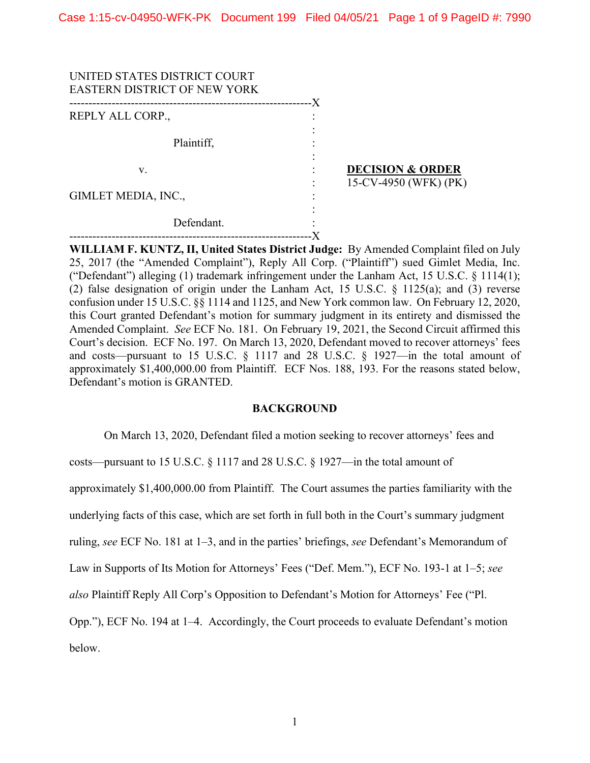| UNITED STATES DISTRICT COURT<br><b>EASTERN DISTRICT OF NEW YORK</b> | -X |                             |
|---------------------------------------------------------------------|----|-----------------------------|
| REPLY ALL CORP.,                                                    |    |                             |
|                                                                     |    |                             |
| Plaintiff,                                                          |    |                             |
|                                                                     |    |                             |
| v.                                                                  |    | <b>DECISION &amp; ORDER</b> |
|                                                                     |    | 15-CV-4950 (WFK) (PK)       |
| GIMLET MEDIA, INC.,                                                 |    |                             |
|                                                                     |    |                             |
| Defendant.                                                          |    |                             |
|                                                                     |    |                             |

**WILLIAM F. KUNTZ, II, United States District Judge:** By Amended Complaint filed on July 25, 2017 (the "Amended Complaint"), Reply All Corp. ("Plaintiff") sued Gimlet Media, Inc. ("Defendant") alleging (1) trademark infringement under the Lanham Act, 15 U.S.C. § 1114(1); (2) false designation of origin under the Lanham Act, 15 U.S.C. § 1125(a); and (3) reverse confusion under 15 U.S.C. §§ 1114 and 1125, and New York common law. On February 12, 2020, this Court granted Defendant's motion for summary judgment in its entirety and dismissed the Amended Complaint. *See* ECF No. 181. On February 19, 2021, the Second Circuit affirmed this Court's decision. ECF No. 197. On March 13, 2020, Defendant moved to recover attorneys' fees and costs—pursuant to 15 U.S.C. § 1117 and 28 U.S.C. § 1927—in the total amount of approximately \$1,400,000.00 from Plaintiff. ECF Nos. 188, 193. For the reasons stated below, Defendant's motion is GRANTED.

## **BACKGROUND**

On March 13, 2020, Defendant filed a motion seeking to recover attorneys' fees and

costs—pursuant to 15 U.S.C. § 1117 and 28 U.S.C. § 1927—in the total amount of

approximately \$1,400,000.00 from Plaintiff. The Court assumes the parties familiarity with the

underlying facts of this case, which are set forth in full both in the Court's summary judgment

ruling, *see* ECF No. 181 at 1–3, and in the parties' briefings, *see* Defendant's Memorandum of

Law in Supports of Its Motion for Attorneys' Fees ("Def. Mem."), ECF No. 193-1 at 1–5; *see* 

*also* Plaintiff Reply All Corp's Opposition to Defendant's Motion for Attorneys' Fee ("Pl.

Opp."), ECF No. 194 at 1–4. Accordingly, the Court proceeds to evaluate Defendant's motion

below.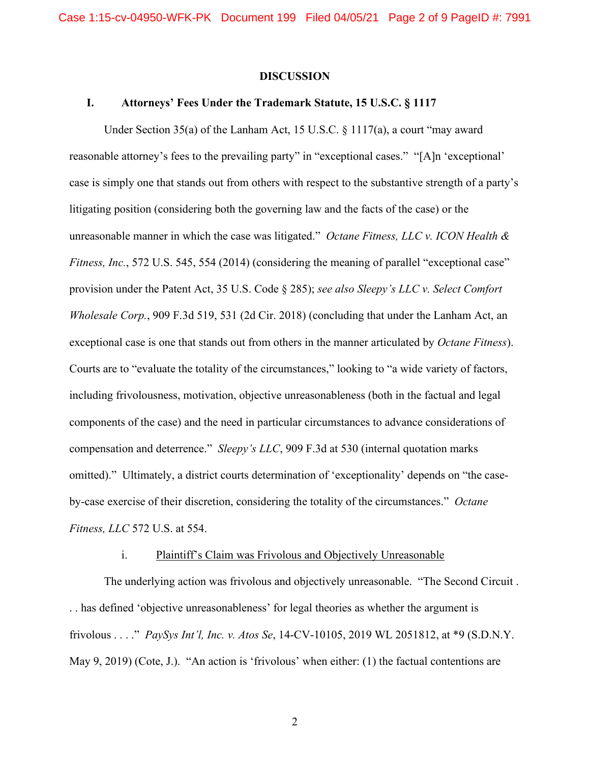#### **DISCUSSION**

## **I. Attorneys' Fees Under the Trademark Statute, 15 U.S.C. § 1117**

Under Section 35(a) of the Lanham Act, 15 U.S.C. § 1117(a), a court "may award reasonable attorney's fees to the prevailing party" in "exceptional cases." "[A]n 'exceptional' case is simply one that stands out from others with respect to the substantive strength of a party's litigating position (considering both the governing law and the facts of the case) or the unreasonable manner in which the case was litigated." *Octane Fitness, LLC v. ICON Health & Fitness, Inc.*, 572 U.S. 545, 554 (2014) (considering the meaning of parallel "exceptional case" provision under the Patent Act, 35 U.S. Code § 285); *see also Sleepy's LLC v. Select Comfort Wholesale Corp.*, 909 F.3d 519, 531 (2d Cir. 2018) (concluding that under the Lanham Act, an exceptional case is one that stands out from others in the manner articulated by *Octane Fitness*). Courts are to "evaluate the totality of the circumstances," looking to "a wide variety of factors, including frivolousness, motivation, objective unreasonableness (both in the factual and legal components of the case) and the need in particular circumstances to advance considerations of compensation and deterrence." *Sleepy's LLC*, 909 F.3d at 530 (internal quotation marks omitted)." Ultimately, a district courts determination of 'exceptionality' depends on "the caseby-case exercise of their discretion, considering the totality of the circumstances." *Octane Fitness, LLC* 572 U.S. at 554.

#### i. Plaintiff's Claim was Frivolous and Objectively Unreasonable

The underlying action was frivolous and objectively unreasonable. "The Second Circuit . . . has defined 'objective unreasonableness' for legal theories as whether the argument is frivolous . . . ." *PaySys Int'l, Inc. v. Atos Se*, 14-CV-10105, 2019 WL 2051812, at \*9 (S.D.N.Y. May 9, 2019) (Cote, J.). "An action is 'frivolous' when either: (1) the factual contentions are

2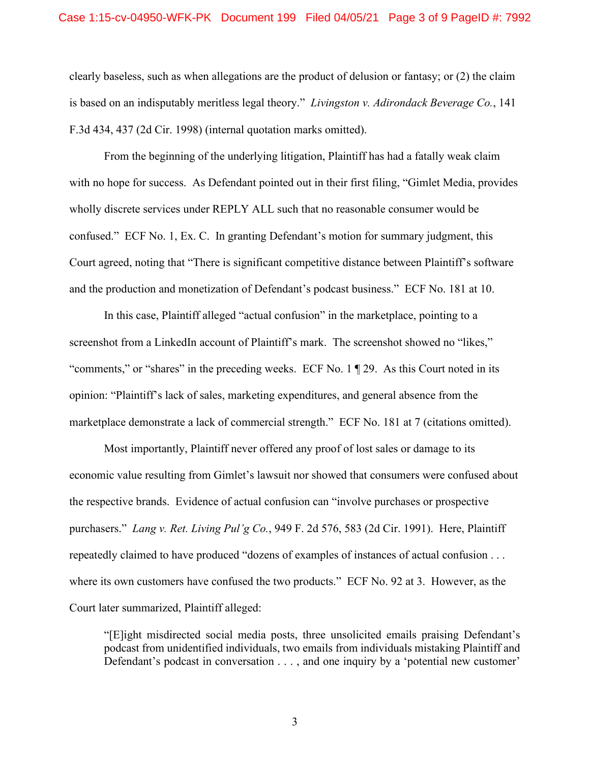clearly baseless, such as when allegations are the product of delusion or fantasy; or (2) the claim is based on an indisputably meritless legal theory." *Livingston v. Adirondack Beverage Co.*, 141 F.3d 434, 437 (2d Cir. 1998) (internal quotation marks omitted).

From the beginning of the underlying litigation, Plaintiff has had a fatally weak claim with no hope for success. As Defendant pointed out in their first filing, "Gimlet Media, provides wholly discrete services under REPLY ALL such that no reasonable consumer would be confused." ECF No. 1, Ex. C. In granting Defendant's motion for summary judgment, this Court agreed, noting that "There is significant competitive distance between Plaintiff's software and the production and monetization of Defendant's podcast business." ECF No. 181 at 10.

In this case, Plaintiff alleged "actual confusion" in the marketplace, pointing to a screenshot from a LinkedIn account of Plaintiff's mark. The screenshot showed no "likes," "comments," or "shares" in the preceding weeks. ECF No. 1 ¶ 29. As this Court noted in its opinion: "Plaintiff's lack of sales, marketing expenditures, and general absence from the marketplace demonstrate a lack of commercial strength." ECF No. 181 at 7 (citations omitted).

Most importantly, Plaintiff never offered any proof of lost sales or damage to its economic value resulting from Gimlet's lawsuit nor showed that consumers were confused about the respective brands. Evidence of actual confusion can "involve purchases or prospective purchasers." *Lang v. Ret. Living Pul'g Co.*, 949 F. 2d 576, 583 (2d Cir. 1991). Here, Plaintiff repeatedly claimed to have produced "dozens of examples of instances of actual confusion . . . where its own customers have confused the two products." ECF No. 92 at 3. However, as the Court later summarized, Plaintiff alleged:

"[E]ight misdirected social media posts, three unsolicited emails praising Defendant's podcast from unidentified individuals, two emails from individuals mistaking Plaintiff and Defendant's podcast in conversation . . . , and one inquiry by a 'potential new customer'

3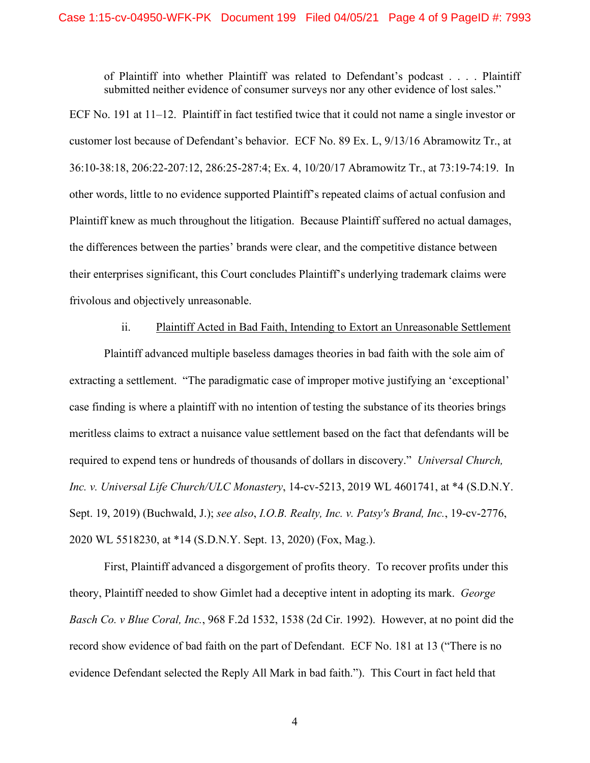of Plaintiff into whether Plaintiff was related to Defendant's podcast . . . . Plaintiff submitted neither evidence of consumer surveys nor any other evidence of lost sales."

ECF No. 191 at 11–12. Plaintiff in fact testified twice that it could not name a single investor or customer lost because of Defendant's behavior. ECF No. 89 Ex. L, 9/13/16 Abramowitz Tr., at 36:10-38:18, 206:22-207:12, 286:25-287:4; Ex. 4, 10/20/17 Abramowitz Tr., at 73:19-74:19. In other words, little to no evidence supported Plaintiff's repeated claims of actual confusion and Plaintiff knew as much throughout the litigation. Because Plaintiff suffered no actual damages, the differences between the parties' brands were clear, and the competitive distance between their enterprises significant, this Court concludes Plaintiff's underlying trademark claims were frivolous and objectively unreasonable.

#### ii. Plaintiff Acted in Bad Faith, Intending to Extort an Unreasonable Settlement

Plaintiff advanced multiple baseless damages theories in bad faith with the sole aim of extracting a settlement. "The paradigmatic case of improper motive justifying an 'exceptional' case finding is where a plaintiff with no intention of testing the substance of its theories brings meritless claims to extract a nuisance value settlement based on the fact that defendants will be required to expend tens or hundreds of thousands of dollars in discovery." *Universal Church, Inc. v. Universal Life Church/ULC Monastery*, 14-cv-5213, 2019 WL 4601741, at \*4 (S.D.N.Y. Sept. 19, 2019) (Buchwald, J.); *see also*, *I.O.B. Realty, Inc. v. Patsy's Brand, Inc.*, 19-cv-2776, 2020 WL 5518230, at \*14 (S.D.N.Y. Sept. 13, 2020) (Fox, Mag.).

First, Plaintiff advanced a disgorgement of profits theory. To recover profits under this theory, Plaintiff needed to show Gimlet had a deceptive intent in adopting its mark. *George Basch Co. v Blue Coral, Inc.*, 968 F.2d 1532, 1538 (2d Cir. 1992). However, at no point did the record show evidence of bad faith on the part of Defendant. ECF No. 181 at 13 ("There is no evidence Defendant selected the Reply All Mark in bad faith."). This Court in fact held that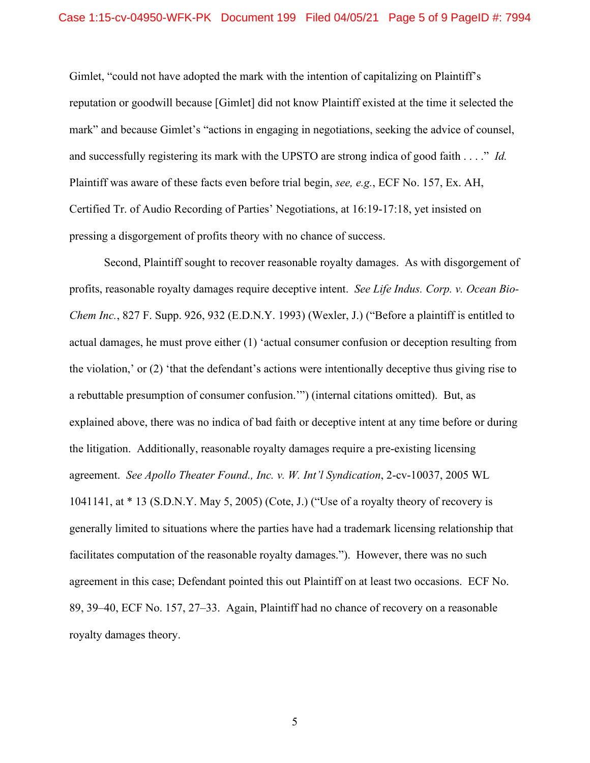Gimlet, "could not have adopted the mark with the intention of capitalizing on Plaintiff's reputation or goodwill because [Gimlet] did not know Plaintiff existed at the time it selected the mark" and because Gimlet's "actions in engaging in negotiations, seeking the advice of counsel, and successfully registering its mark with the UPSTO are strong indica of good faith . . . ." *Id.*  Plaintiff was aware of these facts even before trial begin, *see, e.g.*, ECF No. 157, Ex. AH, Certified Tr. of Audio Recording of Parties' Negotiations, at 16:19-17:18, yet insisted on pressing a disgorgement of profits theory with no chance of success.

Second, Plaintiff sought to recover reasonable royalty damages. As with disgorgement of profits, reasonable royalty damages require deceptive intent. *See Life Indus. Corp. v. Ocean Bio-Chem Inc.*, 827 F. Supp. 926, 932 (E.D.N.Y. 1993) (Wexler, J.) ("Before a plaintiff is entitled to actual damages, he must prove either (1) 'actual consumer confusion or deception resulting from the violation,' or (2) 'that the defendant's actions were intentionally deceptive thus giving rise to a rebuttable presumption of consumer confusion.'") (internal citations omitted). But, as explained above, there was no indica of bad faith or deceptive intent at any time before or during the litigation. Additionally, reasonable royalty damages require a pre-existing licensing agreement. *See Apollo Theater Found., Inc. v. W. Int'l Syndication*, 2-cv-10037, 2005 WL 1041141, at \* 13 (S.D.N.Y. May 5, 2005) (Cote, J.) ("Use of a royalty theory of recovery is generally limited to situations where the parties have had a trademark licensing relationship that facilitates computation of the reasonable royalty damages."). However, there was no such agreement in this case; Defendant pointed this out Plaintiff on at least two occasions. ECF No. 89, 39–40, ECF No. 157, 27–33. Again, Plaintiff had no chance of recovery on a reasonable royalty damages theory.

5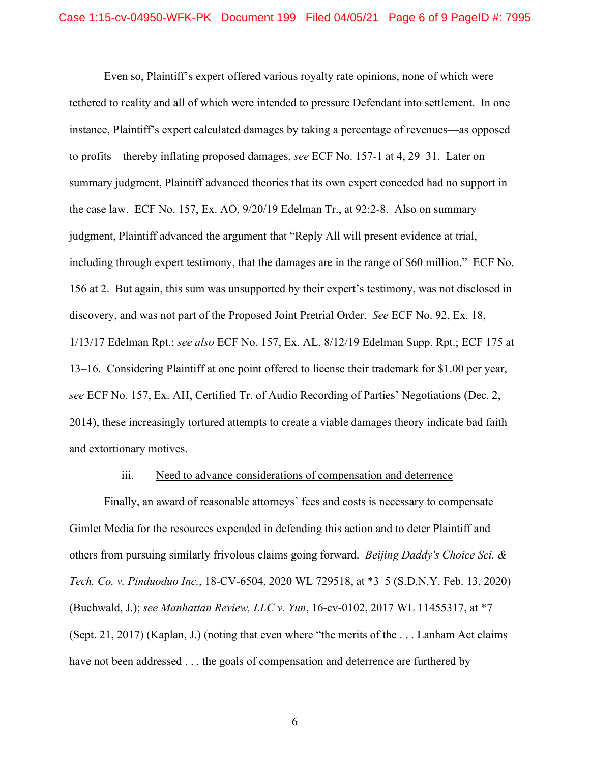Even so, Plaintiff's expert offered various royalty rate opinions, none of which were tethered to reality and all of which were intended to pressure Defendant into settlement. In one instance, Plaintiff's expert calculated damages by taking a percentage of revenues—as opposed to profits—thereby inflating proposed damages, *see* ECF No. 157-1 at 4, 29–31. Later on summary judgment, Plaintiff advanced theories that its own expert conceded had no support in the case law. ECF No. 157, Ex. AO, 9/20/19 Edelman Tr., at 92:2-8. Also on summary judgment, Plaintiff advanced the argument that "Reply All will present evidence at trial, including through expert testimony, that the damages are in the range of \$60 million." ECF No. 156 at 2. But again, this sum was unsupported by their expert's testimony, was not disclosed in discovery, and was not part of the Proposed Joint Pretrial Order. *See* ECF No. 92, Ex. 18, 1/13/17 Edelman Rpt.; *see also* ECF No. 157, Ex. AL, 8/12/19 Edelman Supp. Rpt.; ECF 175 at 13–16. Considering Plaintiff at one point offered to license their trademark for \$1.00 per year, *see* ECF No. 157, Ex. AH, Certified Tr. of Audio Recording of Parties' Negotiations (Dec. 2, 2014), these increasingly tortured attempts to create a viable damages theory indicate bad faith and extortionary motives.

#### iii. Need to advance considerations of compensation and deterrence

Finally, an award of reasonable attorneys' fees and costs is necessary to compensate Gimlet Media for the resources expended in defending this action and to deter Plaintiff and others from pursuing similarly frivolous claims going forward. *Beijing Daddy's Choice Sci. & Tech. Co. v. Pinduoduo Inc.*, 18-CV-6504, 2020 WL 729518, at \*3–5 (S.D.N.Y. Feb. 13, 2020) (Buchwald, J.); *see Manhattan Review, LLC v. Yun*, 16-cv-0102, 2017 WL 11455317, at \*7 (Sept. 21, 2017) (Kaplan, J.) (noting that even where "the merits of the . . . Lanham Act claims have not been addressed . . . the goals of compensation and deterrence are furthered by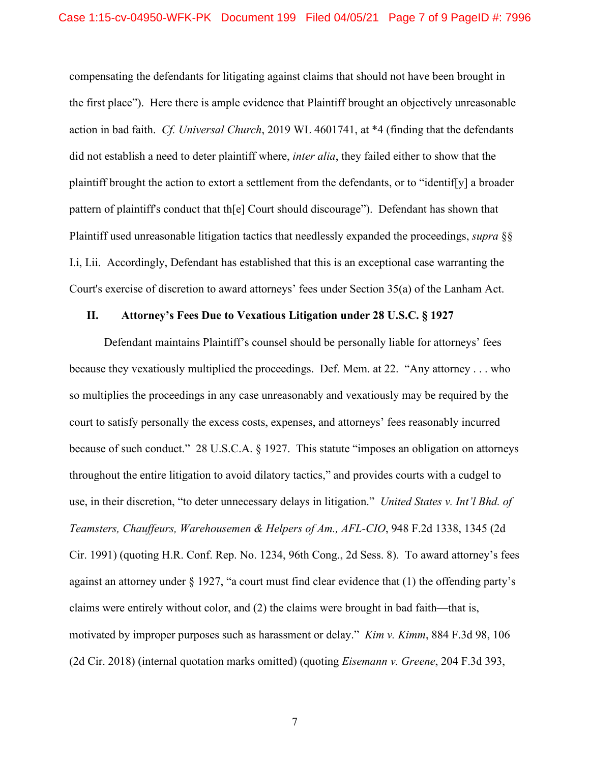compensating the defendants for litigating against claims that should not have been brought in the first place"). Here there is ample evidence that Plaintiff brought an objectively unreasonable action in bad faith. *Cf. Universal Church*, 2019 WL 4601741, at \*4 (finding that the defendants did not establish a need to deter plaintiff where, *inter alia*, they failed either to show that the plaintiff brought the action to extort a settlement from the defendants, or to "identif[y] a broader pattern of plaintiff's conduct that th[e] Court should discourage"). Defendant has shown that Plaintiff used unreasonable litigation tactics that needlessly expanded the proceedings, *supra* §§ I.i, I.ii. Accordingly, Defendant has established that this is an exceptional case warranting the Court's exercise of discretion to award attorneys' fees under Section 35(a) of the Lanham Act.

## **II. Attorney's Fees Due to Vexatious Litigation under 28 U.S.C. § 1927**

Defendant maintains Plaintiff's counsel should be personally liable for attorneys' fees because they vexatiously multiplied the proceedings. Def. Mem. at 22. "Any attorney . . . who so multiplies the proceedings in any case unreasonably and vexatiously may be required by the court to satisfy personally the excess costs, expenses, and attorneys' fees reasonably incurred because of such conduct." 28 U.S.C.A. § 1927. This statute "imposes an obligation on attorneys throughout the entire litigation to avoid dilatory tactics," and provides courts with a cudgel to use, in their discretion, "to deter unnecessary delays in litigation." *United States v. Int'l Bhd. of Teamsters, Chauffeurs, Warehousemen & Helpers of Am., AFL-CIO*, 948 F.2d 1338, 1345 (2d Cir. 1991) (quoting H.R. Conf. Rep. No. 1234, 96th Cong., 2d Sess. 8). To award attorney's fees against an attorney under § 1927, "a court must find clear evidence that (1) the offending party's claims were entirely without color, and (2) the claims were brought in bad faith—that is, motivated by improper purposes such as harassment or delay." *Kim v. Kimm*, 884 F.3d 98, 106 (2d Cir. 2018) (internal quotation marks omitted) (quoting *Eisemann v. Greene*, 204 F.3d 393,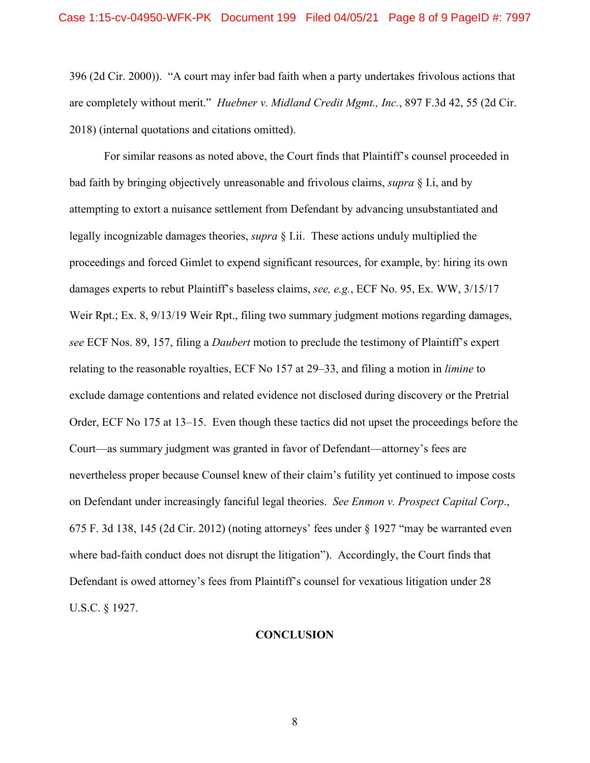396 (2d Cir. 2000)). "A court may infer bad faith when a party undertakes frivolous actions that are completely without merit." *Huebner v. Midland Credit Mgmt., Inc.*, 897 F.3d 42, 55 (2d Cir. 2018) (internal quotations and citations omitted).

For similar reasons as noted above, the Court finds that Plaintiff's counsel proceeded in bad faith by bringing objectively unreasonable and frivolous claims, *supra* § I.i, and by attempting to extort a nuisance settlement from Defendant by advancing unsubstantiated and legally incognizable damages theories, *supra* § I.ii. These actions unduly multiplied the proceedings and forced Gimlet to expend significant resources, for example, by: hiring its own damages experts to rebut Plaintiff's baseless claims, *see, e.g.*, ECF No. 95, Ex. WW, 3/15/17 Weir Rpt.; Ex. 8, 9/13/19 Weir Rpt., filing two summary judgment motions regarding damages, *see* ECF Nos. 89, 157, filing a *Daubert* motion to preclude the testimony of Plaintiff's expert relating to the reasonable royalties, ECF No 157 at 29–33, and filing a motion in *limine* to exclude damage contentions and related evidence not disclosed during discovery or the Pretrial Order, ECF No 175 at 13–15. Even though these tactics did not upset the proceedings before the Court—as summary judgment was granted in favor of Defendant—attorney's fees are nevertheless proper because Counsel knew of their claim's futility yet continued to impose costs on Defendant under increasingly fanciful legal theories. *See Enmon v. Prospect Capital Corp*., 675 F. 3d 138, 145 (2d Cir. 2012) (noting attorneys' fees under § 1927 "may be warranted even where bad-faith conduct does not disrupt the litigation"). Accordingly, the Court finds that Defendant is owed attorney's fees from Plaintiff's counsel for vexatious litigation under 28 U.S.C. § 1927.

## **CONCLUSION**